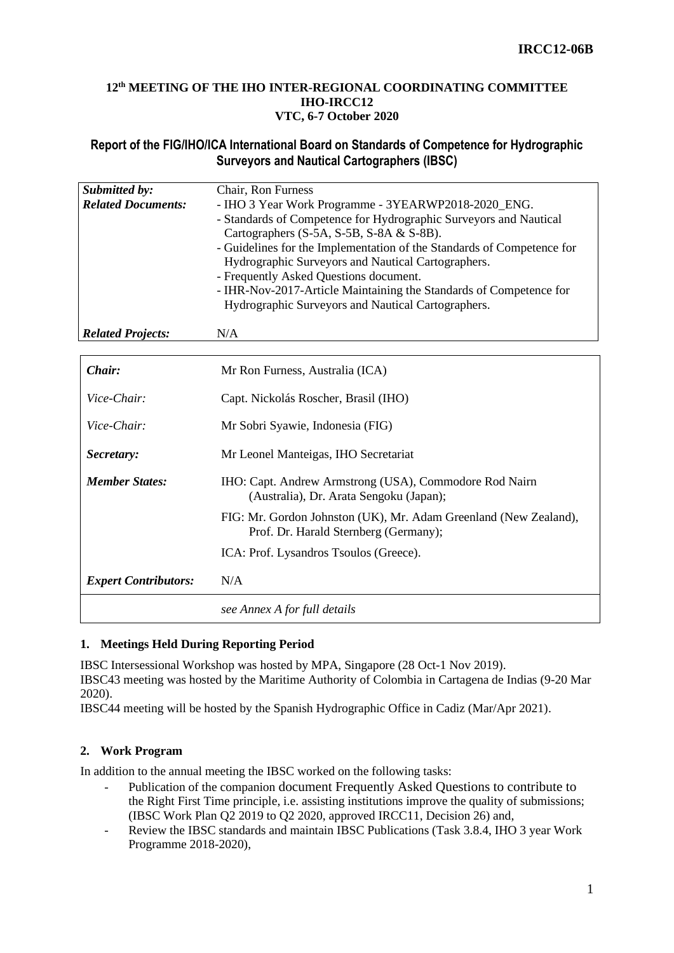#### **12 th MEETING OF THE IHO INTER-REGIONAL COORDINATING COMMITTEE IHO-IRCC12 VTC, 6-7 October 2020**

## **Report of the FIG/IHO/ICA International Board on Standards of Competence for Hydrographic Surveyors and Nautical Cartographers (IBSC)**

| Submitted by:             | Chair, Ron Furness                                                     |  |  |  |  |  |
|---------------------------|------------------------------------------------------------------------|--|--|--|--|--|
| <b>Related Documents:</b> | - IHO 3 Year Work Programme - 3YEARWP2018-2020_ENG.                    |  |  |  |  |  |
|                           | - Standards of Competence for Hydrographic Surveyors and Nautical      |  |  |  |  |  |
|                           | Cartographers (S-5A, S-5B, S-8A & S-8B).                               |  |  |  |  |  |
|                           | - Guidelines for the Implementation of the Standards of Competence for |  |  |  |  |  |
|                           | Hydrographic Surveyors and Nautical Cartographers.                     |  |  |  |  |  |
|                           | - Frequently Asked Questions document.                                 |  |  |  |  |  |
|                           | - IHR-Nov-2017-Article Maintaining the Standards of Competence for     |  |  |  |  |  |
|                           | Hydrographic Surveyors and Nautical Cartographers.                     |  |  |  |  |  |
|                           |                                                                        |  |  |  |  |  |
| <b>Related Projects:</b>  | N/A                                                                    |  |  |  |  |  |

| Chair:                      | Mr Ron Furness, Australia (ICA)                                                                           |  |  |  |  |  |
|-----------------------------|-----------------------------------------------------------------------------------------------------------|--|--|--|--|--|
| Vice-Chair:                 | Capt. Nickolás Roscher, Brasil (IHO)                                                                      |  |  |  |  |  |
| Vice-Chair:                 | Mr Sobri Syawie, Indonesia (FIG)                                                                          |  |  |  |  |  |
| Secretary:                  | Mr Leonel Manteigas, IHO Secretariat                                                                      |  |  |  |  |  |
| <b>Member States:</b>       | IHO: Capt. Andrew Armstrong (USA), Commodore Rod Nairn<br>(Australia), Dr. Arata Sengoku (Japan);         |  |  |  |  |  |
|                             | FIG: Mr. Gordon Johnston (UK), Mr. Adam Greenland (New Zealand),<br>Prof. Dr. Harald Sternberg (Germany); |  |  |  |  |  |
|                             | ICA: Prof. Lysandros Tsoulos (Greece).                                                                    |  |  |  |  |  |
| <b>Expert Contributors:</b> | N/A                                                                                                       |  |  |  |  |  |
|                             | see Annex A for full details                                                                              |  |  |  |  |  |

## **1. Meetings Held During Reporting Period**

IBSC Intersessional Workshop was hosted by MPA, Singapore (28 Oct-1 Nov 2019).

IBSC43 meeting was hosted by the Maritime Authority of Colombia in Cartagena de Indias (9-20 Mar 2020).

IBSC44 meeting will be hosted by the Spanish Hydrographic Office in Cadiz (Mar/Apr 2021).

## **2. Work Program**

In addition to the annual meeting the IBSC worked on the following tasks:

- Publication of the companion document Frequently Asked Questions to contribute to the Right First Time principle, i.e. assisting institutions improve the quality of submissions; (IBSC Work Plan Q2 2019 to Q2 2020, approved IRCC11, Decision 26) and,
- Review the IBSC standards and maintain IBSC Publications (Task 3.8.4, IHO 3 year Work Programme 2018-2020),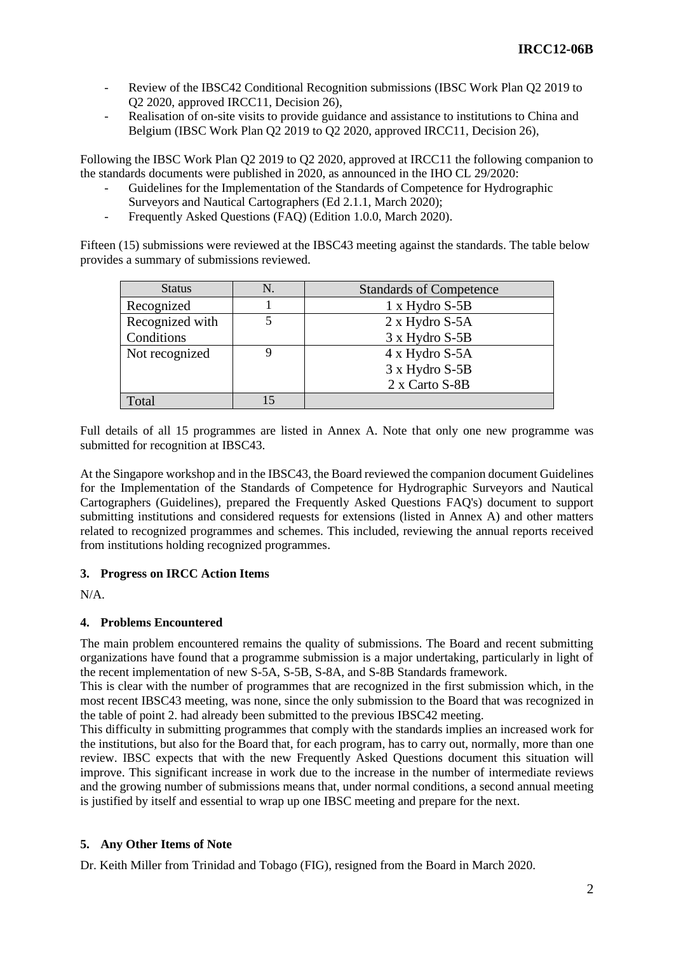- Review of the IBSC42 Conditional Recognition submissions (IBSC Work Plan Q2 2019 to Q2 2020, approved IRCC11, Decision 26),
- Realisation of on-site visits to provide guidance and assistance to institutions to China and Belgium (IBSC Work Plan Q2 2019 to Q2 2020, approved IRCC11, Decision 26),

Following the IBSC Work Plan Q2 2019 to Q2 2020, approved at IRCC11 the following companion to the standards documents were published in 2020, as announced in the IHO CL 29/2020:

- Guidelines for the Implementation of the Standards of Competence for Hydrographic Surveyors and Nautical Cartographers (Ed 2.1.1, March 2020);
- Frequently Asked Questions (FAQ) (Edition 1.0.0, March 2020).

Fifteen (15) submissions were reviewed at the IBSC43 meeting against the standards. The table below provides a summary of submissions reviewed.

| <b>Status</b>   | <b>Standards of Competence</b> |  |  |  |  |
|-----------------|--------------------------------|--|--|--|--|
| Recognized      | $1 \times$ Hydro S-5B          |  |  |  |  |
| Recognized with | $2 \times$ Hydro S-5A          |  |  |  |  |
| Conditions      | 3 x Hydro S-5B                 |  |  |  |  |
| Not recognized  | $4 \times$ Hydro S-5A          |  |  |  |  |
|                 | 3 x Hydro S-5B                 |  |  |  |  |
|                 | 2 x Carto S-8B                 |  |  |  |  |
| Total           |                                |  |  |  |  |

Full details of all 15 programmes are listed in Annex A. Note that only one new programme was submitted for recognition at IBSC43.

At the Singapore workshop and in the IBSC43, the Board reviewed the companion document Guidelines for the Implementation of the Standards of Competence for Hydrographic Surveyors and Nautical Cartographers (Guidelines), prepared the Frequently Asked Questions FAQ's) document to support submitting institutions and considered requests for extensions (listed in Annex A) and other matters related to recognized programmes and schemes. This included, reviewing the annual reports received from institutions holding recognized programmes.

## **3. Progress on IRCC Action Items**

N/A.

## **4. Problems Encountered**

The main problem encountered remains the quality of submissions. The Board and recent submitting organizations have found that a programme submission is a major undertaking, particularly in light of the recent implementation of new S-5A, S-5B, S-8A, and S-8B Standards framework.

This is clear with the number of programmes that are recognized in the first submission which, in the most recent IBSC43 meeting, was none, since the only submission to the Board that was recognized in the table of point 2. had already been submitted to the previous IBSC42 meeting.

This difficulty in submitting programmes that comply with the standards implies an increased work for the institutions, but also for the Board that, for each program, has to carry out, normally, more than one review. IBSC expects that with the new Frequently Asked Questions document this situation will improve. This significant increase in work due to the increase in the number of intermediate reviews and the growing number of submissions means that, under normal conditions, a second annual meeting is justified by itself and essential to wrap up one IBSC meeting and prepare for the next.

#### **5. Any Other Items of Note**

Dr. Keith Miller from Trinidad and Tobago (FIG), resigned from the Board in March 2020.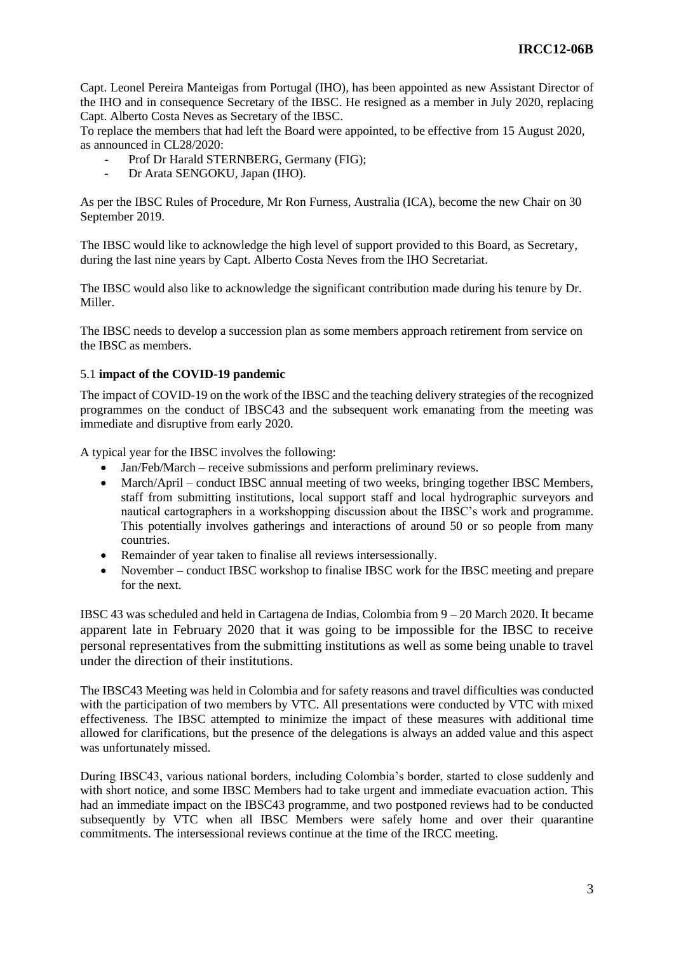Capt. Leonel Pereira Manteigas from Portugal (IHO), has been appointed as new Assistant Director of the IHO and in consequence Secretary of the IBSC. He resigned as a member in July 2020, replacing Capt. Alberto Costa Neves as Secretary of the IBSC.

To replace the members that had left the Board were appointed, to be effective from 15 August 2020, as announced in CL28/2020:

- Prof Dr Harald STERNBERG, Germany (FIG);
- Dr Arata SENGOKU, Japan (IHO).

As per the IBSC Rules of Procedure, Mr Ron Furness, Australia (ICA), become the new Chair on 30 September 2019.

The IBSC would like to acknowledge the high level of support provided to this Board, as Secretary, during the last nine years by Capt. Alberto Costa Neves from the IHO Secretariat.

The IBSC would also like to acknowledge the significant contribution made during his tenure by Dr. Miller.

The IBSC needs to develop a succession plan as some members approach retirement from service on the IBSC as members.

#### 5.1 **impact of the COVID-19 pandemic**

The impact of COVID-19 on the work of the IBSC and the teaching delivery strategies of the recognized programmes on the conduct of IBSC43 and the subsequent work emanating from the meeting was immediate and disruptive from early 2020.

A typical year for the IBSC involves the following:

- Jan/Feb/March receive submissions and perform preliminary reviews.
- March/April conduct IBSC annual meeting of two weeks, bringing together IBSC Members, staff from submitting institutions, local support staff and local hydrographic surveyors and nautical cartographers in a workshopping discussion about the IBSC's work and programme. This potentially involves gatherings and interactions of around 50 or so people from many countries.
- Remainder of year taken to finalise all reviews intersessionally.
- November conduct IBSC workshop to finalise IBSC work for the IBSC meeting and prepare for the next.

IBSC 43 was scheduled and held in Cartagena de Indias, Colombia from 9 – 20 March 2020. It became apparent late in February 2020 that it was going to be impossible for the IBSC to receive personal representatives from the submitting institutions as well as some being unable to travel under the direction of their institutions.

The IBSC43 Meeting was held in Colombia and for safety reasons and travel difficulties was conducted with the participation of two members by VTC. All presentations were conducted by VTC with mixed effectiveness. The IBSC attempted to minimize the impact of these measures with additional time allowed for clarifications, but the presence of the delegations is always an added value and this aspect was unfortunately missed.

During IBSC43, various national borders, including Colombia's border, started to close suddenly and with short notice, and some IBSC Members had to take urgent and immediate evacuation action. This had an immediate impact on the IBSC43 programme, and two postponed reviews had to be conducted subsequently by VTC when all IBSC Members were safely home and over their quarantine commitments. The intersessional reviews continue at the time of the IRCC meeting.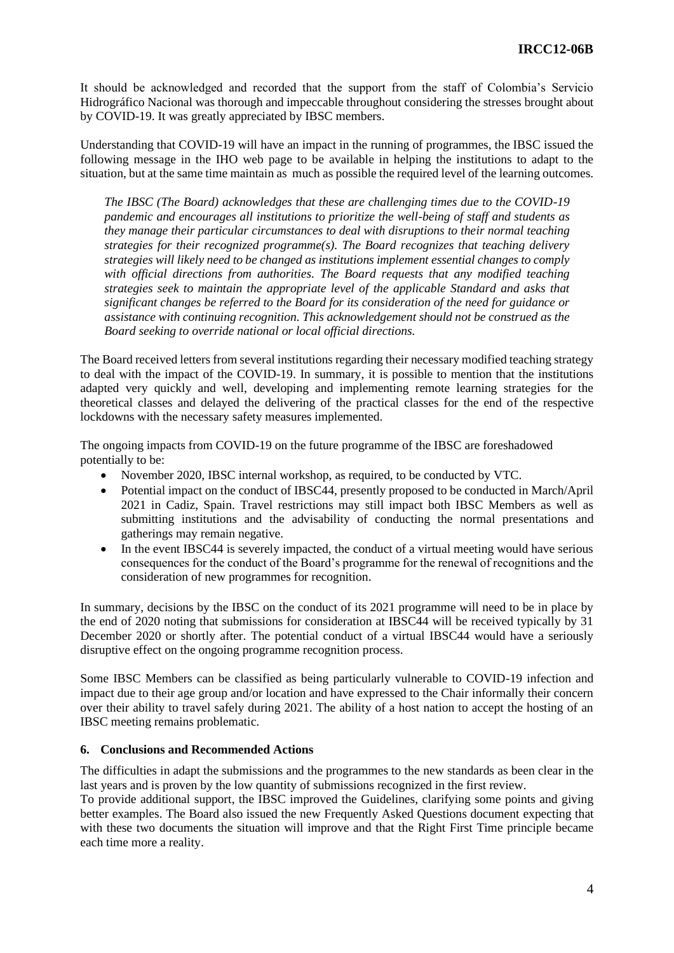It should be acknowledged and recorded that the support from the staff of Colombia's Servicio Hidrográfico Nacional was thorough and impeccable throughout considering the stresses brought about by COVID-19. It was greatly appreciated by IBSC members.

Understanding that COVID-19 will have an impact in the running of programmes, the IBSC issued the following message in the IHO web page to be available in helping the institutions to adapt to the situation, but at the same time maintain as much as possible the required level of the learning outcomes.

*The IBSC (The Board) acknowledges that these are challenging times due to the COVID-19 pandemic and encourages all institutions to prioritize the well-being of staff and students as they manage their particular circumstances to deal with disruptions to their normal teaching strategies for their recognized programme(s). The Board recognizes that teaching delivery strategies will likely need to be changed as institutions implement essential changes to comply with official directions from authorities. The Board requests that any modified teaching strategies seek to maintain the appropriate level of the applicable Standard and asks that significant changes be referred to the Board for its consideration of the need for guidance or assistance with continuing recognition. This acknowledgement should not be construed as the Board seeking to override national or local official directions.*

The Board received letters from several institutions regarding their necessary modified teaching strategy to deal with the impact of the COVID-19. In summary, it is possible to mention that the institutions adapted very quickly and well, developing and implementing remote learning strategies for the theoretical classes and delayed the delivering of the practical classes for the end of the respective lockdowns with the necessary safety measures implemented.

The ongoing impacts from COVID-19 on the future programme of the IBSC are foreshadowed potentially to be:

- November 2020, IBSC internal workshop, as required, to be conducted by VTC.
- Potential impact on the conduct of IBSC44, presently proposed to be conducted in March/April 2021 in Cadiz, Spain. Travel restrictions may still impact both IBSC Members as well as submitting institutions and the advisability of conducting the normal presentations and gatherings may remain negative.
- In the event IBSC44 is severely impacted, the conduct of a virtual meeting would have serious consequences for the conduct of the Board's programme for the renewal of recognitions and the consideration of new programmes for recognition.

In summary, decisions by the IBSC on the conduct of its 2021 programme will need to be in place by the end of 2020 noting that submissions for consideration at IBSC44 will be received typically by 31 December 2020 or shortly after. The potential conduct of a virtual IBSC44 would have a seriously disruptive effect on the ongoing programme recognition process.

Some IBSC Members can be classified as being particularly vulnerable to COVID-19 infection and impact due to their age group and/or location and have expressed to the Chair informally their concern over their ability to travel safely during 2021. The ability of a host nation to accept the hosting of an IBSC meeting remains problematic.

#### **6. Conclusions and Recommended Actions**

The difficulties in adapt the submissions and the programmes to the new standards as been clear in the last years and is proven by the low quantity of submissions recognized in the first review.

To provide additional support, the IBSC improved the Guidelines, clarifying some points and giving better examples. The Board also issued the new Frequently Asked Questions document expecting that with these two documents the situation will improve and that the Right First Time principle became each time more a reality.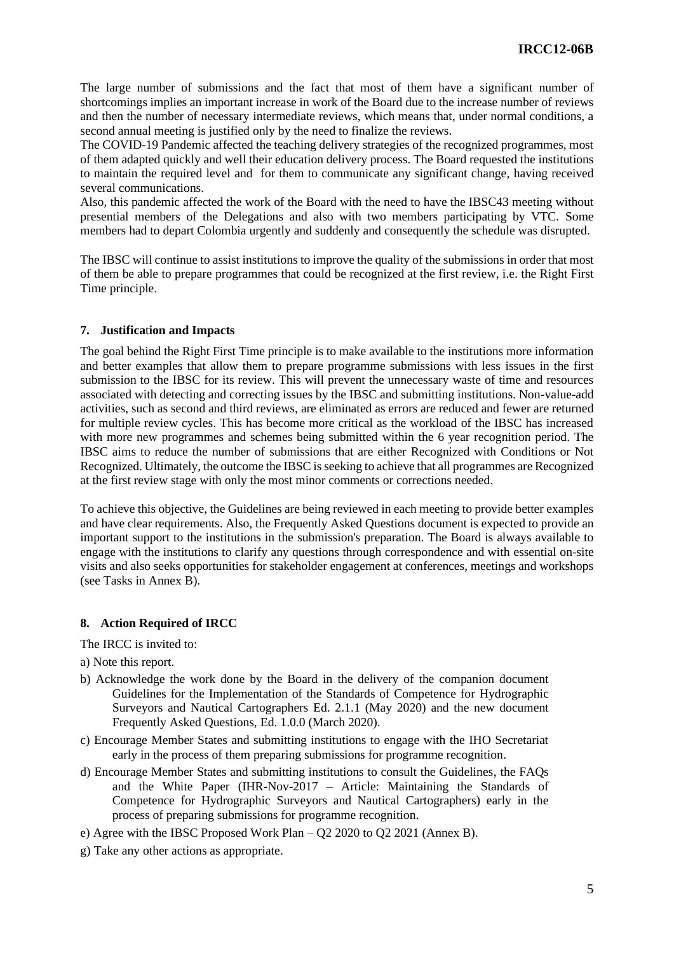The large number of submissions and the fact that most of them have a significant number of shortcomings implies an important increase in work of the Board due to the increase number of reviews and then the number of necessary intermediate reviews, which means that, under normal conditions, a second annual meeting is justified only by the need to finalize the reviews.

The COVID-19 Pandemic affected the teaching delivery strategies of the recognized programmes, most of them adapted quickly and well their education delivery process. The Board requested the institutions to maintain the required level and for them to communicate any significant change, having received several communications.

Also, this pandemic affected the work of the Board with the need to have the IBSC43 meeting without presential members of the Delegations and also with two members participating by VTC. Some members had to depart Colombia urgently and suddenly and consequently the schedule was disrupted.

The IBSC will continue to assist institutions to improve the quality of the submissions in order that most of them be able to prepare programmes that could be recognized at the first review, i.e. the Right First Time principle.

### **7. Justifica**t**ion and Impacts**

The goal behind the Right First Time principle is to make available to the institutions more information and better examples that allow them to prepare programme submissions with less issues in the first submission to the IBSC for its review. This will prevent the unnecessary waste of time and resources associated with detecting and correcting issues by the IBSC and submitting institutions. Non-value-add activities, such as second and third reviews, are eliminated as errors are reduced and fewer are returned for multiple review cycles. This has become more critical as the workload of the IBSC has increased with more new programmes and schemes being submitted within the 6 year recognition period. The IBSC aims to reduce the number of submissions that are either Recognized with Conditions or Not Recognized. Ultimately, the outcome the IBSC is seeking to achieve that all programmes are Recognized at the first review stage with only the most minor comments or corrections needed.

To achieve this objective, the Guidelines are being reviewed in each meeting to provide better examples and have clear requirements. Also, the Frequently Asked Questions document is expected to provide an important support to the institutions in the submission's preparation. The Board is always available to engage with the institutions to clarify any questions through correspondence and with essential on-site visits and also seeks opportunities for stakeholder engagement at conferences, meetings and workshops (see Tasks in Annex B).

#### **8. Action Required of IRCC**

The IRCC is invited to:

- a) Note this report.
- b) Acknowledge the work done by the Board in the delivery of the companion document Guidelines for the Implementation of the Standards of Competence for Hydrographic Surveyors and Nautical Cartographers Ed. 2.1.1 (May 2020) and the new document Frequently Asked Questions, Ed. 1.0.0 (March 2020).
- c) Encourage Member States and submitting institutions to engage with the IHO Secretariat early in the process of them preparing submissions for programme recognition.
- d) Encourage Member States and submitting institutions to consult the Guidelines, the FAQs and the White Paper (IHR-Nov-2017 – Article: Maintaining the Standards of Competence for Hydrographic Surveyors and Nautical Cartographers) early in the process of preparing submissions for programme recognition.
- e) Agree with the IBSC Proposed Work Plan Q2 2020 to Q2 2021 (Annex B).
- g) Take any other actions as appropriate.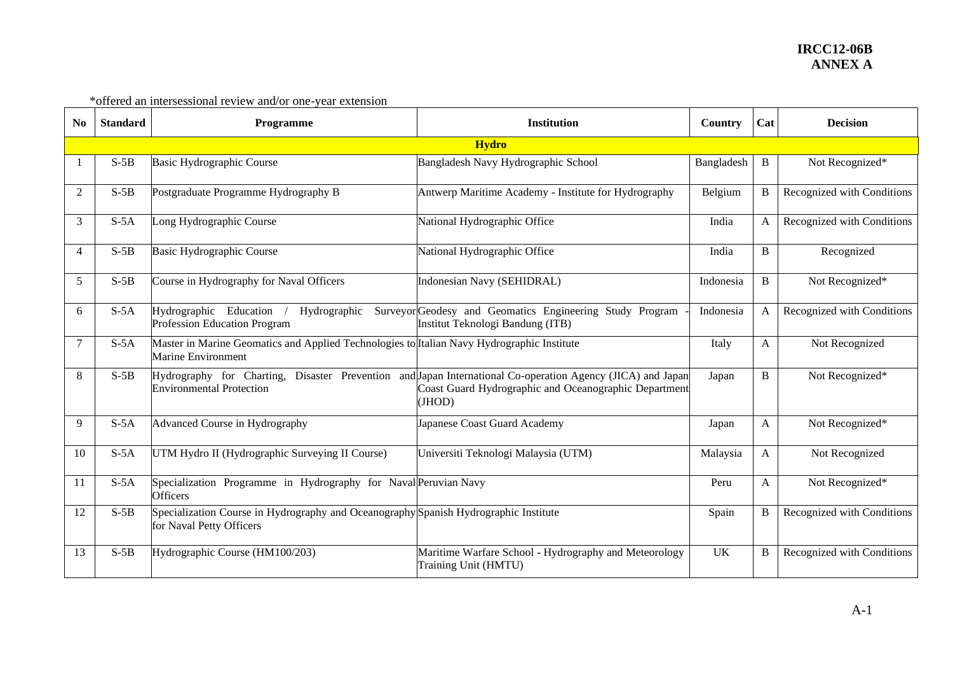| N <sub>0</sub> | <b>Standard</b> | <b>Programme</b>                                                                                                 | <b>Institution</b>                                                                                                                                                            | Country    | Cat | <b>Decision</b>            |  |  |  |  |
|----------------|-----------------|------------------------------------------------------------------------------------------------------------------|-------------------------------------------------------------------------------------------------------------------------------------------------------------------------------|------------|-----|----------------------------|--|--|--|--|
|                | <b>Hydro</b>    |                                                                                                                  |                                                                                                                                                                               |            |     |                            |  |  |  |  |
|                | $S-5B$          | Basic Hydrographic Course                                                                                        | Bangladesh Navy Hydrographic School                                                                                                                                           | Bangladesh | B   | Not Recognized*            |  |  |  |  |
| $\overline{2}$ | $S-5B$          | Postgraduate Programme Hydrography B                                                                             | Antwerp Maritime Academy - Institute for Hydrography                                                                                                                          | Belgium    | B   | Recognized with Conditions |  |  |  |  |
| $\overline{3}$ | $S-5A$          | Long Hydrographic Course                                                                                         | National Hydrographic Office                                                                                                                                                  | India      | A   | Recognized with Conditions |  |  |  |  |
| $\overline{4}$ | $S-5B$          | Basic Hydrographic Course                                                                                        | National Hydrographic Office                                                                                                                                                  | India      | B   | Recognized                 |  |  |  |  |
| 5              | $S-5B$          | Course in Hydrography for Naval Officers                                                                         | Indonesian Navy (SEHIDRAL)                                                                                                                                                    | Indonesia  | B   | Not Recognized*            |  |  |  |  |
| 6              | $S-5A$          | Hydrographic Education<br>Hydrographic<br>Profession Education Program                                           | Surveyor Geodesy and Geomatics Engineering Study Program<br>Institut Teknologi Bandung (ITB)                                                                                  | Indonesia  | A   | Recognized with Conditions |  |  |  |  |
| $\tau$         | $S-5A$          | Master in Marine Geomatics and Applied Technologies to Italian Navy Hydrographic Institute<br>Marine Environment |                                                                                                                                                                               | Italy      | A   | Not Recognized             |  |  |  |  |
| 8              | $S-5B$          | <b>Environmental Protection</b>                                                                                  | Hydrography for Charting, Disaster Prevention and Japan International Co-operation Agency (JICA) and Japan<br>Coast Guard Hydrographic and Oceanographic Department<br>(JHOD) | Japan      | B   | Not Recognized*            |  |  |  |  |
| 9              | $S-5A$          | Advanced Course in Hydrography                                                                                   | Japanese Coast Guard Academy                                                                                                                                                  | Japan      | A   | Not Recognized*            |  |  |  |  |
| 10             | $S-5A$          | UTM Hydro II (Hydrographic Surveying II Course)                                                                  | Universiti Teknologi Malaysia (UTM)                                                                                                                                           | Malaysia   | A   | Not Recognized             |  |  |  |  |
| -11            | $S-5A$          | Specialization Programme in Hydrography for Naval Peruvian Navy<br><b>Officers</b>                               |                                                                                                                                                                               | Peru       | A   | Not Recognized*            |  |  |  |  |
| 12             | $S-5B$          | Specialization Course in Hydrography and Oceanography Spanish Hydrographic Institute<br>for Naval Petty Officers |                                                                                                                                                                               | Spain      | B   | Recognized with Conditions |  |  |  |  |
| 13             | $S-5B$          | Hydrographic Course (HM100/203)                                                                                  | Maritime Warfare School - Hydrography and Meteorology<br>Training Unit (HMTU)                                                                                                 | <b>UK</b>  | B   | Recognized with Conditions |  |  |  |  |

\*offered an intersessional review and/or one-year extension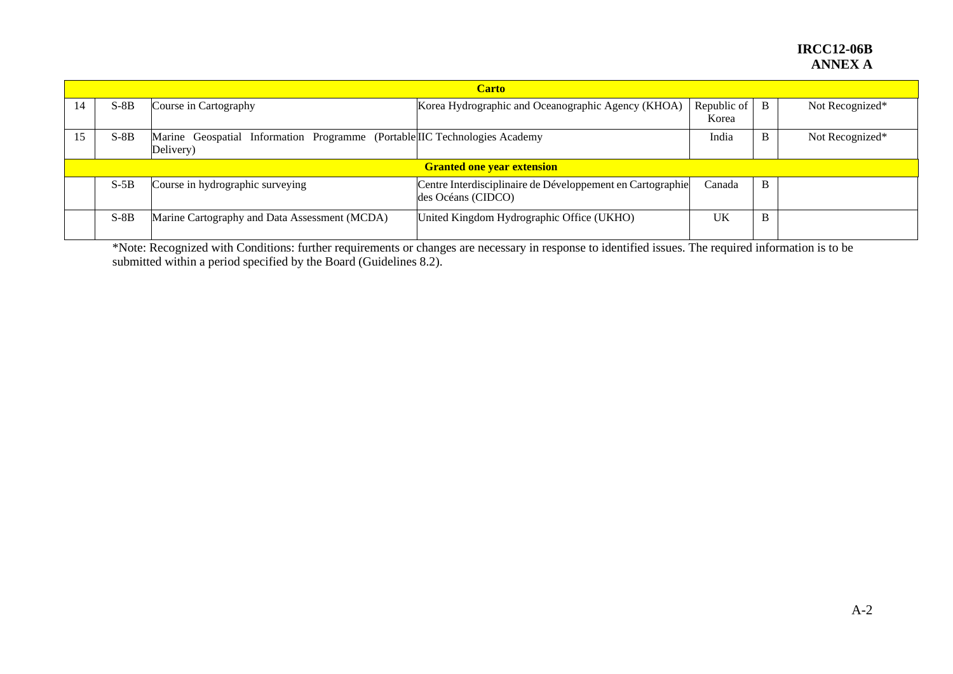## **IRCC12-06B ANNEX A**

|    | <b>Carto</b>                      |                                                                                         |                                                                                  |                      |   |                 |  |  |  |  |
|----|-----------------------------------|-----------------------------------------------------------------------------------------|----------------------------------------------------------------------------------|----------------------|---|-----------------|--|--|--|--|
| 14 | $S-8B$                            | Course in Cartography                                                                   | Korea Hydrographic and Oceanographic Agency (KHOA)                               | Republic of<br>Korea | B | Not Recognized* |  |  |  |  |
| 15 | $S-8B$                            | Marine Geospatial Information Programme (Portable IIC Technologies Academy<br>Delivery) |                                                                                  | India                | B | Not Recognized* |  |  |  |  |
|    | <b>Granted one year extension</b> |                                                                                         |                                                                                  |                      |   |                 |  |  |  |  |
|    | $S-5B$                            | Course in hydrographic surveying                                                        | Centre Interdisciplinaire de Développement en Cartographie<br>des Océans (CIDCO) | Canada               | B |                 |  |  |  |  |
|    | $S-8B$                            | Marine Cartography and Data Assessment (MCDA)                                           | United Kingdom Hydrographic Office (UKHO)                                        | UK                   | B |                 |  |  |  |  |

\*Note: Recognized with Conditions: further requirements or changes are necessary in response to identified issues. The required information is to be submitted within a period specified by the Board (Guidelines 8.2).